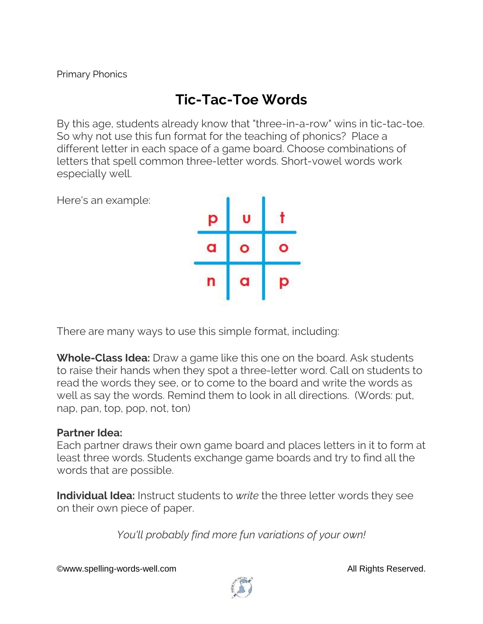## **Tic-Tac-Toe Words**

By this age, students already know that "three-in-a-row" wins in tic-tac-toe. So why not use this fun format for the teaching of phonics? Place a different letter in each space of a game board. Choose combinations of letters that spell common three-letter words. Short-vowel words work especially well.

Here's an example:



There are many ways to use this simple format, including:

**Whole-Class Idea:** Draw a game like this one on the board. Ask students to raise their hands when they spot a three-letter word. Call on students to read the words they see, or to come to the board and write the words as well as say the words. Remind them to look in all directions. (Words: put, nap, pan, top, pop, not, ton)

## **Partner Idea:**

Each partner draws their own game board and places letters in it to form at least three words. Students exchange game boards and try to find all the words that are possible.

**Individual Idea:** Instruct students to *write* the three letter words they see on their own piece of paper.

*You'll probably find more fun variations of your own!*

©www.spelling-words-well.com All Rights Reserved.